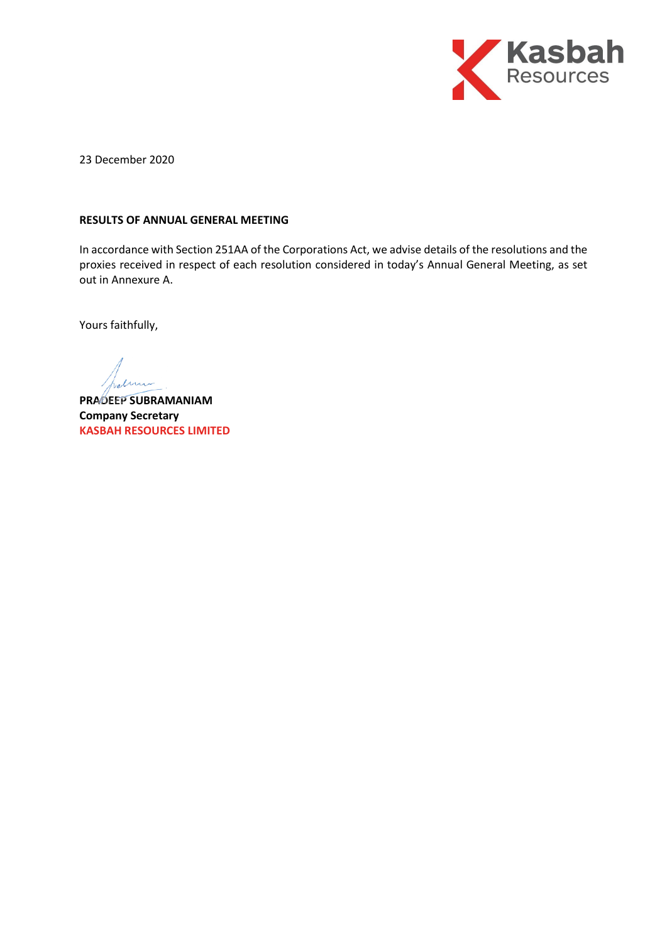

23 December 2020

## **RESULTS OF ANNUAL GENERAL MEETING**

In accordance with Section 251AA of the Corporations Act, we advise details of the resolutions and the proxies received in respect of each resolution considered in today's Annual General Meeting, as set out in Annexure A.

Yours faithfully,

**PRADEEP SUBRAMANIAM Company Secretary KASBAH RESOURCES LIMITED**